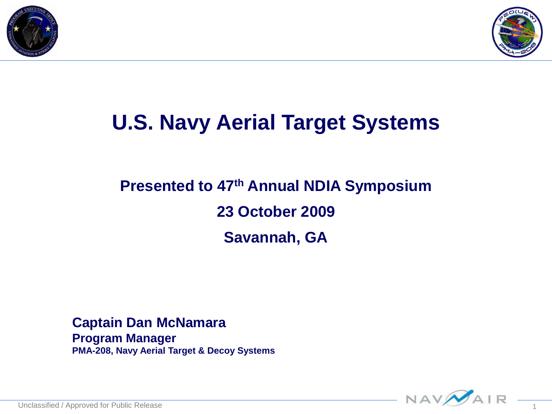



### **U.S. Navy Aerial Target Systems**

### **Presented to 47th Annual NDIA Symposium 23 October 2009 Savannah, GA**

#### **Captain Dan McNamara Program Manager PMA-208, Navy Aerial Target & Decoy Systems**

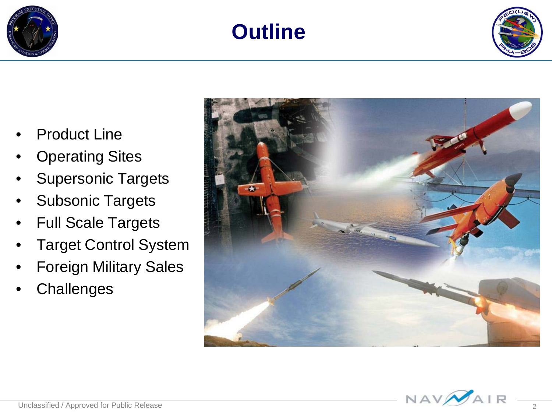





- **Product Line**
- **Operating Sites**
- **Supersonic Targets**
- Subsonic Targets
- Full Scale Targets
- Target Control System
- Foreign Military Sales
- **Challenges**

![](_page_1_Picture_11.jpeg)

![](_page_1_Picture_12.jpeg)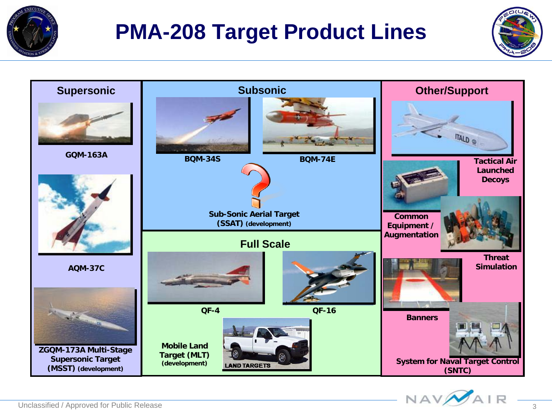![](_page_2_Picture_0.jpeg)

### **PMA-208 Target Product Lines**

![](_page_2_Picture_2.jpeg)

![](_page_2_Figure_3.jpeg)

![](_page_2_Picture_4.jpeg)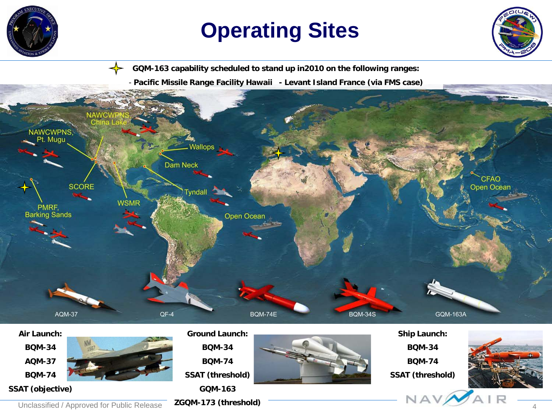![](_page_3_Picture_0.jpeg)

### **Operating Sites**

![](_page_3_Picture_2.jpeg)

**GQM-163 capability scheduled to stand up in2010 on the following ranges:**

- **Pacific Missile Range Facility Hawaii - Levant Island France (via FMS case)**

![](_page_3_Picture_5.jpeg)

#### **BQM-34 AQM-37 BQM-74**

**SSAT (objective)**

![](_page_3_Picture_8.jpeg)

**BQM-34 BQM-74**

**SSAT (threshold)**

**GQM-163**

#### **ZGQM-173 (threshold)**

![](_page_3_Picture_14.jpeg)

**BQM-34**

**BQM-74**

**SSAT (threshold)**

![](_page_3_Picture_18.jpeg)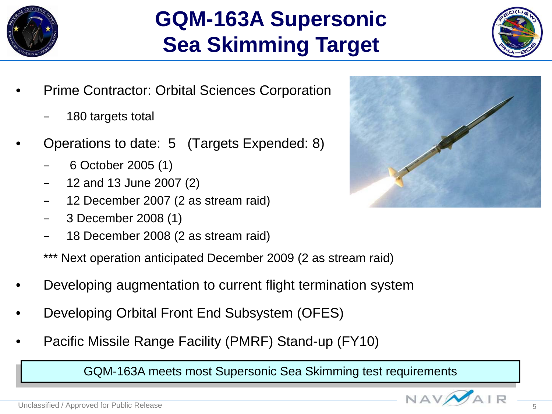![](_page_4_Picture_0.jpeg)

### **GQM-163A Supersonic Sea Skimming Target**

![](_page_4_Picture_2.jpeg)

- Prime Contractor: Orbital Sciences Corporation
	- 180 targets total
- Operations to date: 5 (Targets Expended: 8)
	- 6 October 2005 (1)
	- 12 and 13 June 2007 (2)
	- 12 December 2007 (2 as stream raid)
	- 3 December 2008 (1)
	- 18 December 2008 (2 as stream raid)

\*\*\* Next operation anticipated December 2009 (2 as stream raid)

- Developing augmentation to current flight termination system
- Developing Orbital Front End Subsystem (OFES)
- Pacific Missile Range Facility (PMRF) Stand-up (FY10)

GQM-163A meets most Supersonic Sea Skimming test requirements

![](_page_4_Picture_16.jpeg)

![](_page_4_Picture_19.jpeg)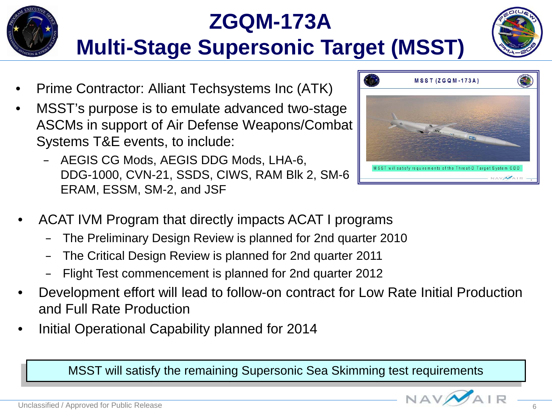### **ZGQM-173A Multi-Stage Supersonic Target (MSST)**

- Prime Contractor: Alliant Techsystems Inc (ATK)
- MSST's purpose is to emulate advanced two-stage ASCMs in support of Air Defense Weapons/Combat Systems T&E events, to include:
	- AEGIS CG Mods, AEGIS DDG Mods, LHA-6, DDG-1000, CVN-21, SSDS, CIWS, RAM Blk 2, SM-6 ERAM, ESSM, SM-2, and JSF
- ACAT IVM Program that directly impacts ACAT I programs
	- The Preliminary Design Review is planned for 2nd quarter 2010
	- The Critical Design Review is planned for 2nd quarter 2011
	- Flight Test commencement is planned for 2nd quarter 2012
- Development effort will lead to follow-on contract for Low Rate Initial Production and Full Rate Production
- Initial Operational Capability planned for 2014

MSST will satisfy the remaining Supersonic Sea Skimming test requirements

![](_page_5_Picture_12.jpeg)

![](_page_5_Picture_13.jpeg)

![](_page_5_Picture_14.jpeg)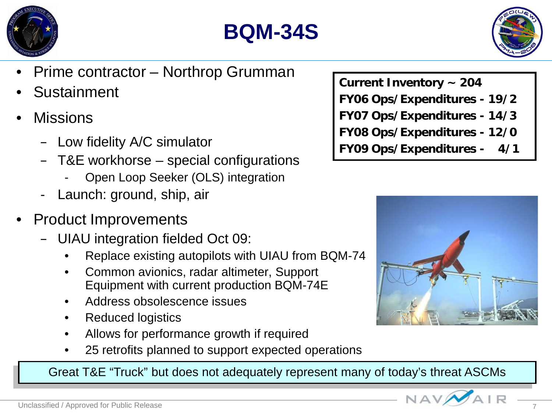![](_page_6_Picture_0.jpeg)

![](_page_6_Picture_1.jpeg)

![](_page_6_Picture_2.jpeg)

- Prime contractor Northrop Grumman
- **Sustainment**
- **Missions** 
	- Low fidelity A/C simulator
	- T&E workhorse special configurations
		- Open Loop Seeker (OLS) integration
	- Launch: ground, ship, air
- Product Improvements
	- UIAU integration fielded Oct 09:
		- Replace existing autopilots with UIAU from BQM-74
		- Common avionics, radar altimeter, Support Equipment with current production BQM-74E
		- Address obsolescence issues
		- Reduced logistics
		- Allows for performance growth if required
		- 25 retrofits planned to support expected operations

Great T&E "Truck" but does not adequately represent many of today's threat ASCMs

**Current Inventory ~ 204 FY06 Ops/Expenditures - 19/2 FY07 Ops/Expenditures - 14/3 FY08 Ops/Expenditures - 12/0 FY09 Ops/Expenditures - 4/1**

![](_page_6_Picture_20.jpeg)

![](_page_6_Picture_22.jpeg)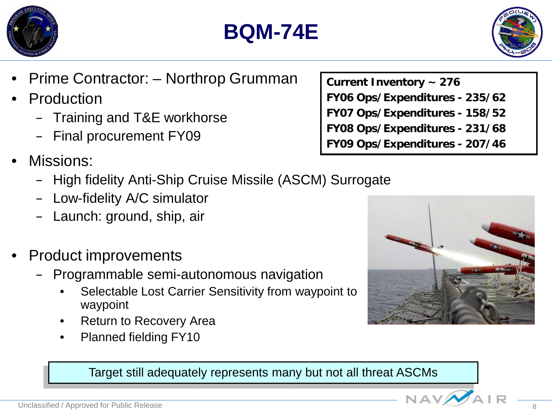![](_page_7_Picture_0.jpeg)

![](_page_7_Picture_1.jpeg)

![](_page_7_Picture_2.jpeg)

- Prime Contractor: Northrop Grumman
- **Production** 
	- Training and T&E workhorse
	- Final procurement FY09
- Missions:
	- High fidelity Anti-Ship Cruise Missile (ASCM) Surrogate
	- Low-fidelity A/C simulator
	- Launch: ground, ship, air
- Product improvements
	- Programmable semi-autonomous navigation
		- Selectable Lost Carrier Sensitivity from waypoint to waypoint
		- Return to Recovery Area
		- Planned fielding FY10

![](_page_7_Picture_16.jpeg)

![](_page_7_Picture_17.jpeg)

Target still adequately represents many but not all threat ASCMs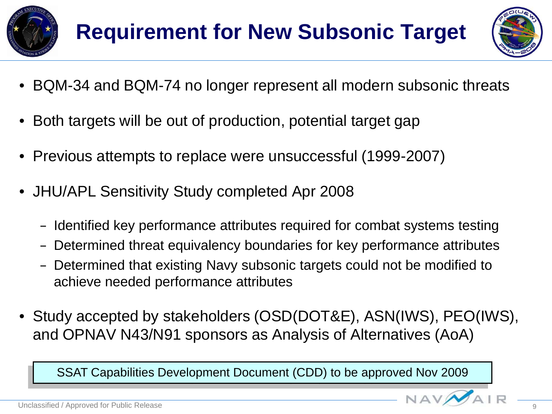![](_page_8_Picture_0.jpeg)

![](_page_8_Picture_2.jpeg)

- BQM-34 and BQM-74 no longer represent all modern subsonic threats
- Both targets will be out of production, potential target gap
- Previous attempts to replace were unsuccessful (1999-2007)
- JHU/APL Sensitivity Study completed Apr 2008
	- Identified key performance attributes required for combat systems testing
	- Determined threat equivalency boundaries for key performance attributes
	- Determined that existing Navy subsonic targets could not be modified to achieve needed performance attributes
- Study accepted by stakeholders (OSD(DOT&E), ASN(IWS), PEO(IWS), and OPNAV N43/N91 sponsors as Analysis of Alternatives (AoA)

SSAT Capabilities Development Document (CDD) to be approved Nov 2009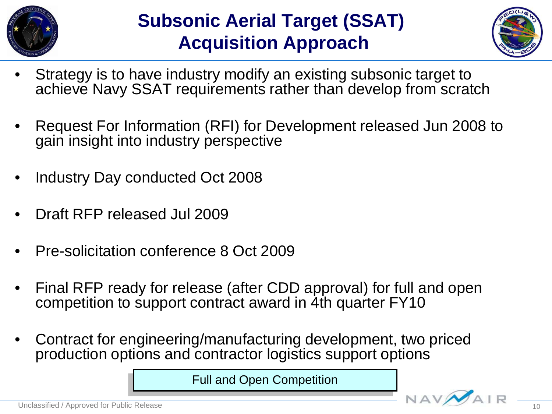![](_page_9_Picture_0.jpeg)

### **Subsonic Aerial Target (SSAT) Acquisition Approach**

![](_page_9_Picture_2.jpeg)

- Strategy is to have industry modify an existing subsonic target to achieve Navy SSAT requirements rather than develop from scratch
- Request For Information (RFI) for Development released Jun 2008 to gain insight into industry perspective
- Industry Day conducted Oct 2008
- Draft RFP released Jul 2009
- Pre-solicitation conference 8 Oct 2009
- Final RFP ready for release (after CDD approval) for full and open competition to support contract award in 4th quarter FY10
- Contract for engineering/manufacturing development, two priced production options and contractor logistics support options

Full and Open Competition

![](_page_9_Picture_12.jpeg)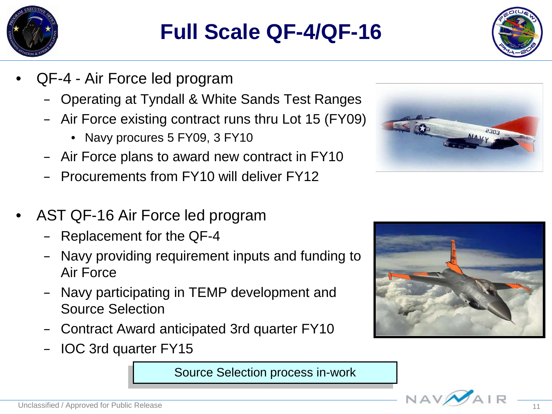![](_page_10_Picture_0.jpeg)

### **Full Scale QF-4/QF-16**

![](_page_10_Picture_2.jpeg)

- QF-4 Air Force led program
	- Operating at Tyndall & White Sands Test Ranges
	- Air Force existing contract runs thru Lot 15 (FY09)
		- Navy procures 5 FY09, 3 FY10
	- Air Force plans to award new contract in FY10
	- Procurements from FY10 will deliver FY12
- AST QF-16 Air Force led program
	- Replacement for the QF-4
	- Navy providing requirement inputs and funding to Air Force
	- Navy participating in TEMP development and Source Selection
	- Contract Award anticipated 3rd quarter FY10
	- IOC 3rd quarter FY15

Source Selection process in-work

![](_page_10_Picture_16.jpeg)

![](_page_10_Picture_17.jpeg)

![](_page_10_Picture_18.jpeg)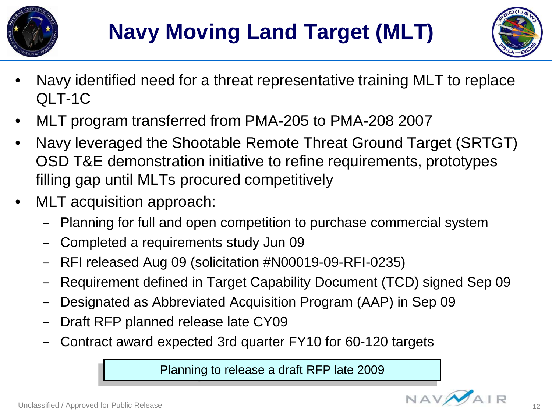![](_page_11_Picture_0.jpeg)

![](_page_11_Picture_2.jpeg)

- Navy identified need for a threat representative training MLT to replace QLT-1C
- MLT program transferred from PMA-205 to PMA-208 2007
- Navy leveraged the Shootable Remote Threat Ground Target (SRTGT) OSD T&E demonstration initiative to refine requirements, prototypes filling gap until MLTs procured competitively
- MLT acquisition approach:
	- Planning for full and open competition to purchase commercial system
	- Completed a requirements study Jun 09
	- RFI released Aug 09 (solicitation #N00019-09-RFI-0235)
	- Requirement defined in Target Capability Document (TCD) signed Sep 09
	- Designated as Abbreviated Acquisition Program (AAP) in Sep 09
	- Draft RFP planned release late CY09
	- Contract award expected 3rd quarter FY10 for 60-120 targets

Planning to release a draft RFP late 2009

![](_page_11_Picture_16.jpeg)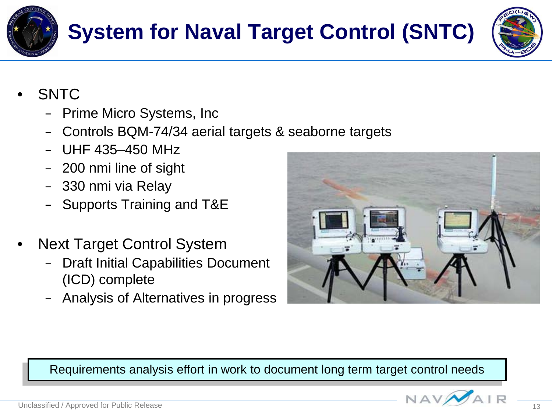![](_page_12_Picture_0.jpeg)

## **System for Naval Target Control (SNTC)**

![](_page_12_Picture_2.jpeg)

- SNTC
	- Prime Micro Systems, Inc
	- Controls BQM-74/34 aerial targets & seaborne targets
	- UHF 435–450 MHz
	- 200 nmi line of sight
	- 330 nmi via Relay
	- Supports Training and T&E
- Next Target Control System
	- Draft Initial Capabilities Document (ICD) complete
	- Analysis of Alternatives in progress

![](_page_12_Picture_13.jpeg)

Requirements analysis effort in work to document long term target control needs

![](_page_12_Picture_15.jpeg)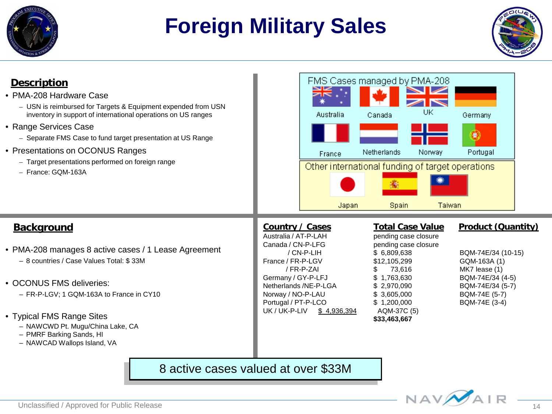![](_page_13_Picture_0.jpeg)

### **Foreign Military Sales**

![](_page_13_Picture_2.jpeg)

#### **Description**

- PMA-208 Hardware Case
	- USN is reimbursed for Targets & Equipment expended from USN inventory in support of international operations on US ranges
- Range Services Case
	- Separate FMS Case to fund target presentation at US Range
- Presentations on OCONUS Ranges
	- Target presentations performed on foreign range
	- France: GQM-163A

![](_page_13_Picture_11.jpeg)

#### **Background**

- PMA-208 manages 8 active cases / 1 Lease Agreement – 8 countries / Case Values Total: \$ 33M
- OCONUS FMS deliveries:
	- FR-P-LGV; 1 GQM-163A to France in CY10
- Typical FMS Range Sites
	- NAWCWD Pt. Mugu/China Lake, CA
	- PMRF Barking Sands, HI
	- NAWCAD Wallops Island, VA

Australia / AT-P-LAH pending case closure Canada / CN-P-LFG pending case closure France / FR-P-LGV \$12,105,299 GQM-163A (1) Germany / GY-P-LFJ  $$ 1,763,630$  BQM-74E/34 (4-5) Netherlands /NE-P-LGA \$ 2,970,090 BQM-74E/34 (5-7) Norway / NO-P-LAU \$ 3,605,000 BQM-74E (5-7) Portugal / PT-P-LCO \$ 1,200,000 BQM-74E (3-4) UK / UK-P-LIV \$ 4,936,394 AQM-37C (5)

/ CN-P-LIH \$ 6,809,638 BQM-74E/34 (10-15) / FR-P-ZAI \$ 73,616 MK7 lease (1) **\$33,463,667** 

#### **Country / Cases Total Case Value Product (Quantity)**

#### 8 active cases valued at over \$33M

![](_page_13_Picture_26.jpeg)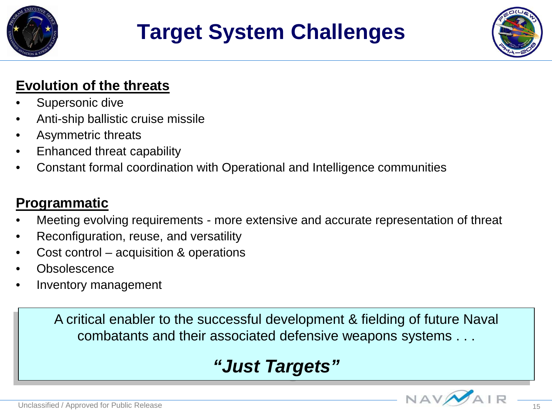![](_page_14_Picture_0.jpeg)

### **Target System Challenges**

![](_page_14_Picture_2.jpeg)

### **Evolution of the threats**

- Supersonic dive
- Anti-ship ballistic cruise missile
- Asymmetric threats
- Enhanced threat capability
- Constant formal coordination with Operational and Intelligence communities

### **Programmatic**

- Meeting evolving requirements more extensive and accurate representation of threat
- Reconfiguration, reuse, and versatility
- Cost control acquisition & operations
- **Obsolescence**
- Inventory management

A critical enabler to the successful development & fielding of future Naval combatants and their associated defensive weapons systems . . .

### *"Just Targets"*

![](_page_14_Picture_18.jpeg)